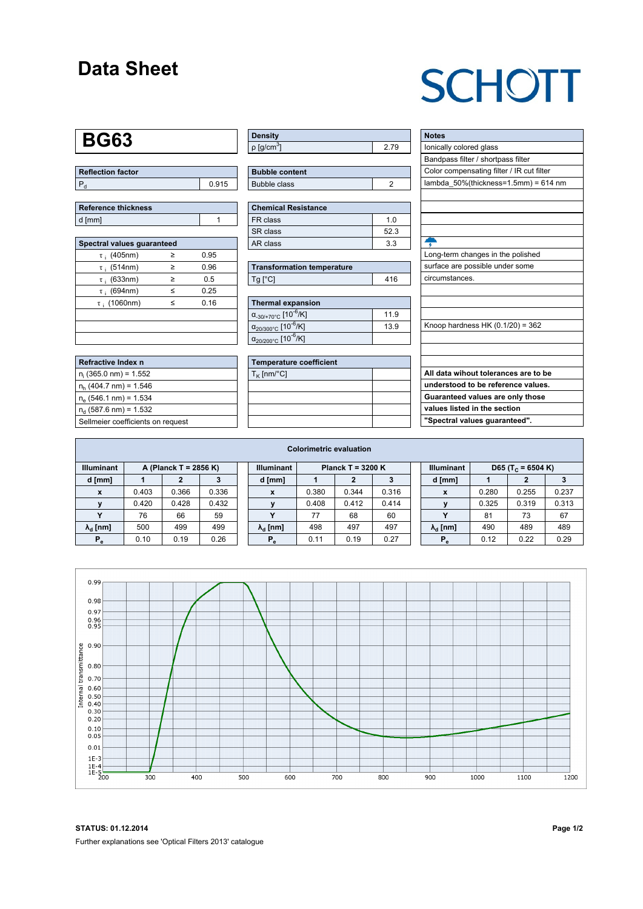### **Data Sheet**

## **SCHOTT**

### **BG63**

| Reflection factor |       |
|-------------------|-------|
|                   | 0.915 |

| Reference thickness |  |
|---------------------|--|
| d [mm]              |  |

| Spectral values quaranteed |   |      |  |  |  |  |  |  |  |
|----------------------------|---|------|--|--|--|--|--|--|--|
| $\tau$ ; (405nm)           | ≥ | 0.95 |  |  |  |  |  |  |  |
| $\tau$ ; (514nm)           | ≥ | 0.96 |  |  |  |  |  |  |  |
| $\tau$ ; (633nm)           | ≥ | 0.5  |  |  |  |  |  |  |  |
| $\tau$ ; (694nm)           | < | 0.25 |  |  |  |  |  |  |  |
| $\tau$ ; (1060nm)          | < | 0.16 |  |  |  |  |  |  |  |
|                            |   |      |  |  |  |  |  |  |  |
|                            |   |      |  |  |  |  |  |  |  |
|                            |   |      |  |  |  |  |  |  |  |

| Refractive Index n                |
|-----------------------------------|
| $n_i$ (365.0 nm) = 1.552          |
| $n_h$ (404.7 nm) = 1.546          |
| $n_e$ (546.1 nm) = 1.534          |
| $n_{d}$ (587.6 nm) = 1.532        |
| Sellmeier coefficients on request |

| <b>Density</b>              |    |
|-----------------------------|----|
| $\rho$ [g/cm <sup>3</sup> ] | 79 |

| <b>Bubble content</b> |  |
|-----------------------|--|
| Bubble class          |  |

| <b>Chemical Resistance</b> |     |  |  |  |  |  |
|----------------------------|-----|--|--|--|--|--|
| FR class                   | 1 በ |  |  |  |  |  |
| SR class                   | 523 |  |  |  |  |  |
| AR class                   | 33  |  |  |  |  |  |

| <b>Transformation temperature</b> |     |  |  |  |  |
|-----------------------------------|-----|--|--|--|--|
| $Ta$ $C1$                         | 416 |  |  |  |  |

| Thermal expansion                                 |      |
|---------------------------------------------------|------|
| $\alpha_{.30/+70\degree}$ C [10 <sup>-6</sup> /K] | 11.9 |
| $\alpha_{20/300^{\circ}C}$ [10 <sup>-6</sup> /K]  | 13.9 |
| $\alpha_{20/200^{\circ}C}$ [10 <sup>-6</sup> /K]  |      |

| <b>Temperature coefficient</b> |  |
|--------------------------------|--|
| $T_K$ [nm/°C]                  |  |
|                                |  |
|                                |  |
|                                |  |
|                                |  |

| <b>Notes</b>                              |
|-------------------------------------------|
| lonically colored glass                   |
| Bandpass filter / shortpass filter        |
| Color compensating filter / IR cut filter |
| lambda_50%(thickness=1.5mm) = 614 nm      |
|                                           |
|                                           |
|                                           |
|                                           |
|                                           |
| Long-term changes in the polished         |
| surface are possible under some           |
| circumstances.                            |
|                                           |
|                                           |
|                                           |
| Knoop hardness HK $(0.1/20) = 362$        |
|                                           |
|                                           |
|                                           |
| All data wihout tolerances are to be      |
| understood to be reference values.        |
| Guaranteed values are only those          |
| values listed in the section              |
| "Spectral values guaranteed".             |
|                                           |

| <b>Colorimetric evaluation</b> |                       |       |       |  |                        |                   |       |       |  |                                                    |       |       |       |
|--------------------------------|-----------------------|-------|-------|--|------------------------|-------------------|-------|-------|--|----------------------------------------------------|-------|-------|-------|
| <b>Illuminant</b>              | A (Planck T = 2856 K) |       |       |  | <b>Illuminant</b>      | Planck T = 3200 K |       |       |  | <b>Illuminant</b><br>D65 (T <sub>c</sub> = 6504 K) |       |       |       |
| d [mm]                         |                       |       | з     |  | d [mm]                 |                   |       |       |  | d [mm]                                             |       | 2     |       |
| X                              | 0.403                 | 0.366 | 0.336 |  | X                      | 0.380             | 0.344 | 0.316 |  | X                                                  | 0.280 | 0.255 | 0.237 |
|                                | 0.420                 | 0.428 | 0.432 |  |                        | 0.408             | 0.412 | 0.414 |  |                                                    | 0.325 | 0.319 | 0.313 |
|                                | 76                    | 66    | 59    |  |                        | 77                | 68    | 60    |  |                                                    | -81   | 73    | 67    |
| $\lambda_{\rm d}$ [nm]         | 500                   | 499   | 499   |  | $\lambda_{\rm d}$ [nm] | 498               | 497   | 497   |  | $\lambda_{\rm d}$ [nm]                             | 490   | 489   | 489   |
| $P_e$                          | 0.10                  | 0.19  | 0.26  |  | $P_e$                  | 0.11              | 0.19  | 0.27  |  | $P_e$                                              | 0.12  | 0.22  | 0.29  |
|                                |                       |       |       |  |                        |                   |       |       |  |                                                    |       |       |       |



**STATUS: 01.12.2014 Page 1/2** Further explanations see 'Optical Filters 2013' catalogue